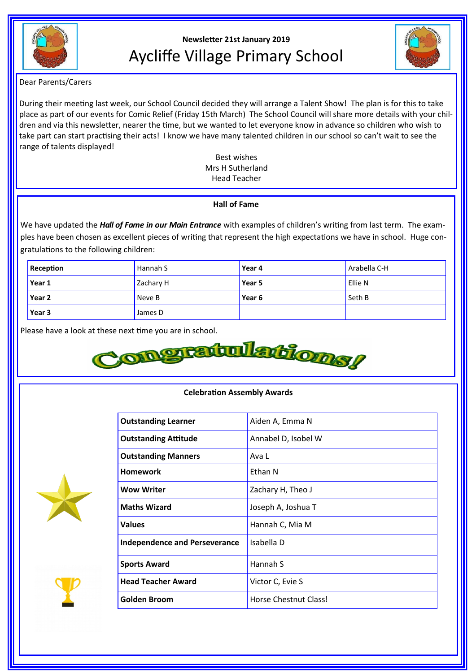

# **Newsletter 21st January 2019** Aycliffe Village Primary School



Dear Parents/Carers

During their meeting last week, our School Council decided they will arrange a Talent Show! The plan is for this to take place as part of our events for Comic Relief (Friday 15th March) The School Council will share more details with your children and via this newsletter, nearer the time, but we wanted to let everyone know in advance so children who wish to take part can start practising their acts! I know we have many talented children in our school so can't wait to see the range of talents displayed!

> Best wishes Mrs H Sutherland Head Teacher

# **Hall of Fame**

We have updated the *Hall of Fame in our Main Entrance* with examples of children's writing from last term. The examples have been chosen as excellent pieces of writing that represent the high expectations we have in school. Huge congratulations to the following children:

| Reception | Hannah S  | Year 4 | Arabella C-H |
|-----------|-----------|--------|--------------|
| Year 1    | Zachary H | Year 5 | Ellie N      |
| Year 2    | Neve B    | Year 6 | Seth B       |
| Year 3    | James D   |        |              |



# **Celebration Assembly Awards**

| <b>Outstanding Learner</b>           | Aiden A, Emma N       |
|--------------------------------------|-----------------------|
| <b>Outstanding Attitude</b>          | Annabel D, Isobel W   |
| <b>Outstanding Manners</b>           | Ava L                 |
| <b>Homework</b>                      | Ethan N               |
| <b>Wow Writer</b>                    | Zachary H, Theo J     |
| <b>Maths Wizard</b>                  | Joseph A, Joshua T    |
| <b>Values</b>                        | Hannah C, Mia M       |
| <b>Independence and Perseverance</b> | Isabella D            |
| <b>Sports Award</b>                  | Hannah S              |
| <b>Head Teacher Award</b>            | Victor C, Evie S      |
| <b>Golden Broom</b>                  | Horse Chestnut Class! |